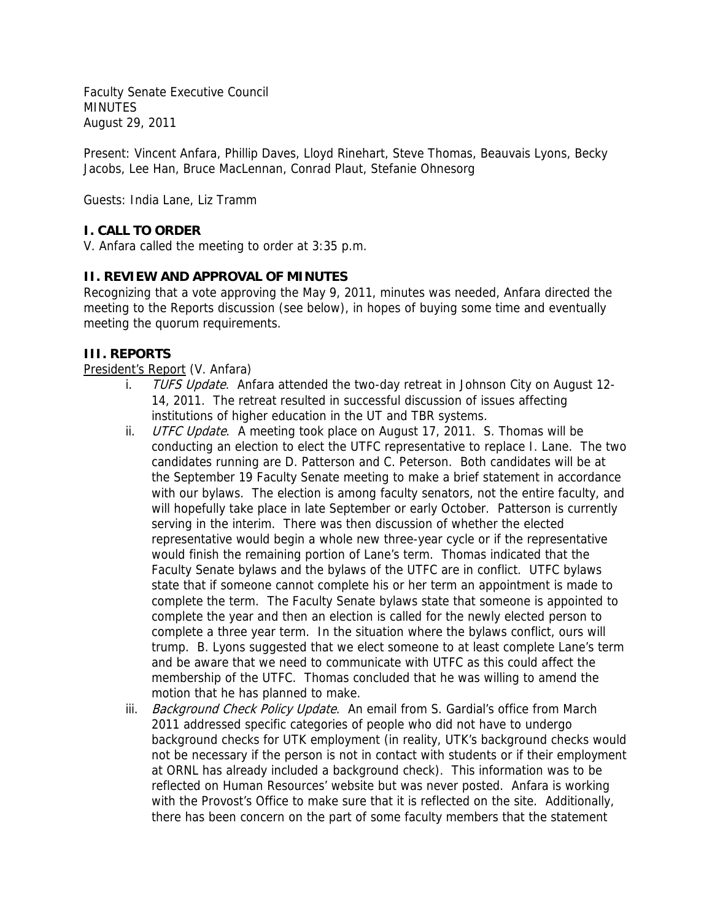Faculty Senate Executive Council **MINUTES** August 29, 2011

Present: Vincent Anfara, Phillip Daves, Lloyd Rinehart, Steve Thomas, Beauvais Lyons, Becky Jacobs, Lee Han, Bruce MacLennan, Conrad Plaut, Stefanie Ohnesorg

Guests: India Lane, Liz Tramm

## **I. CALL TO ORDER**

V. Anfara called the meeting to order at 3:35 p.m.

# **II. REVIEW AND APPROVAL OF MINUTES**

Recognizing that a vote approving the May 9, 2011, minutes was needed, Anfara directed the meeting to the Reports discussion (see below), in hopes of buying some time and eventually meeting the quorum requirements.

# **III. REPORTS**

## President's Report (V. Anfara)

- i. TUFS Update. Anfara attended the two-day retreat in Johnson City on August 12-14, 2011. The retreat resulted in successful discussion of issues affecting institutions of higher education in the UT and TBR systems.
- ii.  $UTFC Update. A meeting took place on August 17, 2011. S. Thomas will be$ conducting an election to elect the UTFC representative to replace I. Lane. The two candidates running are D. Patterson and C. Peterson. Both candidates will be at the September 19 Faculty Senate meeting to make a brief statement in accordance with our bylaws. The election is among faculty senators, not the entire faculty, and will hopefully take place in late September or early October. Patterson is currently serving in the interim. There was then discussion of whether the elected representative would begin a whole new three-year cycle or if the representative would finish the remaining portion of Lane's term. Thomas indicated that the Faculty Senate bylaws and the bylaws of the UTFC are in conflict. UTFC bylaws state that if someone cannot complete his or her term an appointment is made to complete the term. The Faculty Senate bylaws state that someone is appointed to complete the year and then an election is called for the newly elected person to complete a three year term. In the situation where the bylaws conflict, ours will trump. B. Lyons suggested that we elect someone to at least complete Lane's term and be aware that we need to communicate with UTFC as this could affect the membership of the UTFC. Thomas concluded that he was willing to amend the motion that he has planned to make.
- iii. Background Check Policy Update. An email from S. Gardial's office from March 2011 addressed specific categories of people who did not have to undergo background checks for UTK employment (in reality, UTK's background checks would not be necessary if the person is not in contact with students or if their employment at ORNL has already included a background check). This information was to be reflected on Human Resources' website but was never posted. Anfara is working with the Provost's Office to make sure that it is reflected on the site. Additionally, there has been concern on the part of some faculty members that the statement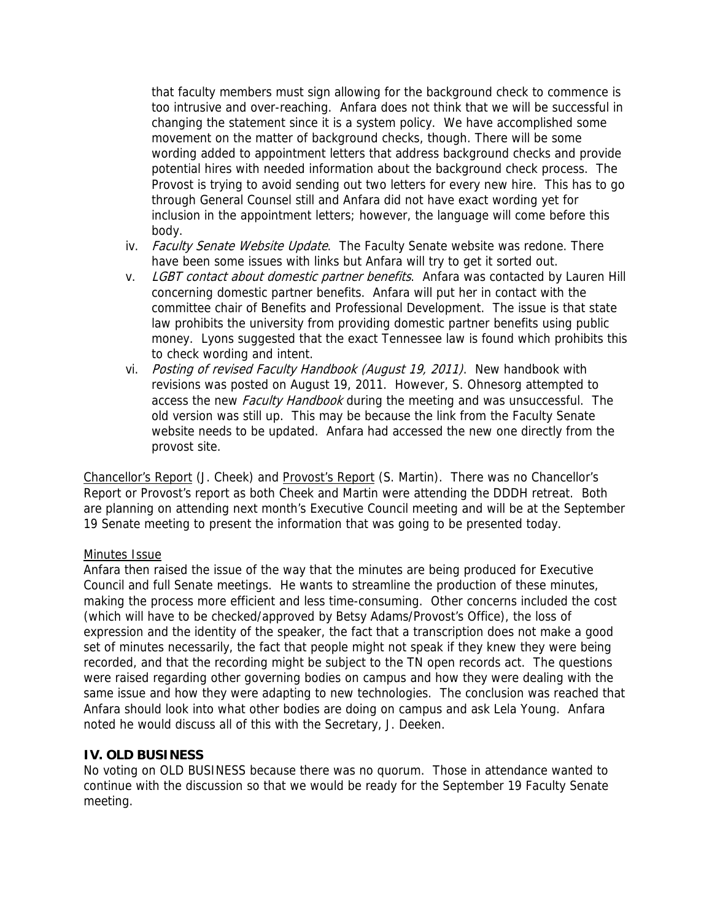that faculty members must sign allowing for the background check to commence is too intrusive and over-reaching. Anfara does not think that we will be successful in changing the statement since it is a system policy. We have accomplished some movement on the matter of background checks, though. There will be some wording added to appointment letters that address background checks and provide potential hires with needed information about the background check process. The Provost is trying to avoid sending out two letters for every new hire. This has to go through General Counsel still and Anfara did not have exact wording yet for inclusion in the appointment letters; however, the language will come before this body.

- iv. Faculty Senate Website Update. The Faculty Senate website was redone. There have been some issues with links but Anfara will try to get it sorted out.
- v. LGBT contact about domestic partner benefits. Anfara was contacted by Lauren Hill concerning domestic partner benefits. Anfara will put her in contact with the committee chair of Benefits and Professional Development. The issue is that state law prohibits the university from providing domestic partner benefits using public money. Lyons suggested that the exact Tennessee law is found which prohibits this to check wording and intent.
- vi. Posting of revised Faculty Handbook (August 19, 2011). New handbook with revisions was posted on August 19, 2011. However, S. Ohnesorg attempted to access the new Faculty Handbook during the meeting and was unsuccessful. The old version was still up. This may be because the link from the Faculty Senate website needs to be updated. Anfara had accessed the new one directly from the provost site.

Chancellor's Report (J. Cheek) and Provost's Report (S. Martin). There was no Chancellor's Report or Provost's report as both Cheek and Martin were attending the DDDH retreat. Both are planning on attending next month's Executive Council meeting and will be at the September 19 Senate meeting to present the information that was going to be presented today.

## Minutes Issue

Anfara then raised the issue of the way that the minutes are being produced for Executive Council and full Senate meetings. He wants to streamline the production of these minutes, making the process more efficient and less time-consuming. Other concerns included the cost (which will have to be checked/approved by Betsy Adams/Provost's Office), the loss of expression and the identity of the speaker, the fact that a transcription does not make a good set of minutes necessarily, the fact that people might not speak if they knew they were being recorded, and that the recording might be subject to the TN open records act. The questions were raised regarding other governing bodies on campus and how they were dealing with the same issue and how they were adapting to new technologies. The conclusion was reached that Anfara should look into what other bodies are doing on campus and ask Lela Young. Anfara noted he would discuss all of this with the Secretary, J. Deeken.

## **IV. OLD BUSINESS**

No voting on OLD BUSINESS because there was no quorum. Those in attendance wanted to continue with the discussion so that we would be ready for the September 19 Faculty Senate meeting.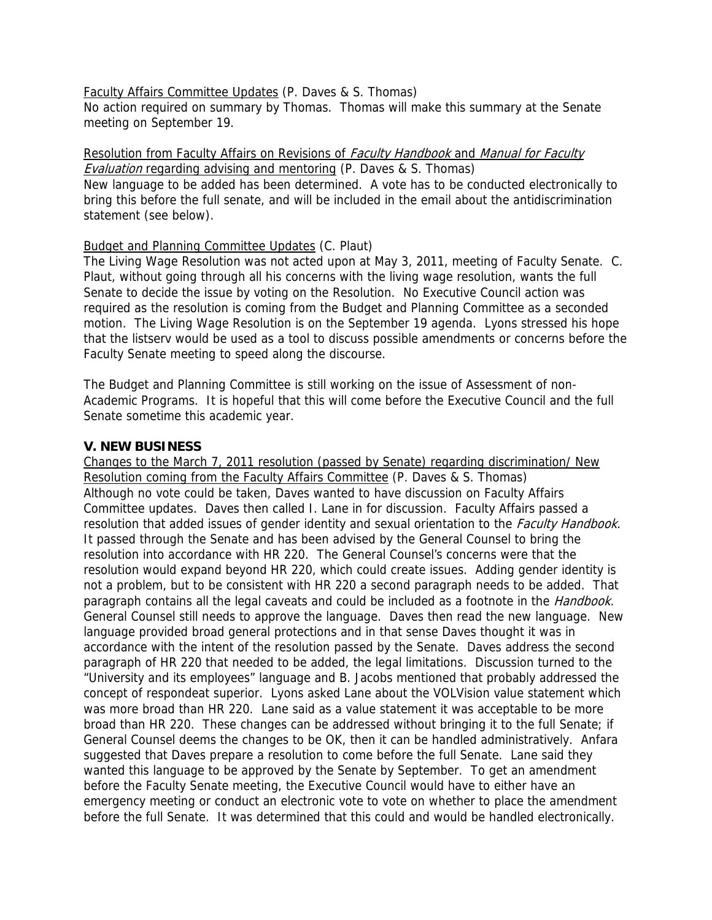Faculty Affairs Committee Updates (P. Daves & S. Thomas)

No action required on summary by Thomas. Thomas will make this summary at the Senate meeting on September 19.

Resolution from Faculty Affairs on Revisions of Faculty Handbook and Manual for Faculty Evaluation regarding advising and mentoring (P. Daves & S. Thomas) New language to be added has been determined. A vote has to be conducted electronically to bring this before the full senate, and will be included in the email about the antidiscrimination statement (see below).

## Budget and Planning Committee Updates (C. Plaut)

The Living Wage Resolution was not acted upon at May 3, 2011, meeting of Faculty Senate. C. Plaut, without going through all his concerns with the living wage resolution, wants the full Senate to decide the issue by voting on the Resolution. No Executive Council action was required as the resolution is coming from the Budget and Planning Committee as a seconded motion. The Living Wage Resolution is on the September 19 agenda. Lyons stressed his hope that the listserv would be used as a tool to discuss possible amendments or concerns before the Faculty Senate meeting to speed along the discourse.

The Budget and Planning Committee is still working on the issue of Assessment of non-Academic Programs. It is hopeful that this will come before the Executive Council and the full Senate sometime this academic year.

#### **V. NEW BUSINESS**

Changes to the March 7, 2011 resolution (passed by Senate) regarding discrimination/ New Resolution coming from the Faculty Affairs Committee (P. Daves & S. Thomas) Although no vote could be taken, Daves wanted to have discussion on Faculty Affairs Committee updates. Daves then called I. Lane in for discussion. Faculty Affairs passed a resolution that added issues of gender identity and sexual orientation to the Faculty Handbook. It passed through the Senate and has been advised by the General Counsel to bring the resolution into accordance with HR 220. The General Counsel's concerns were that the resolution would expand beyond HR 220, which could create issues. Adding gender identity is not a problem, but to be consistent with HR 220 a second paragraph needs to be added. That paragraph contains all the legal caveats and could be included as a footnote in the *Handbook*. General Counsel still needs to approve the language. Daves then read the new language. New language provided broad general protections and in that sense Daves thought it was in accordance with the intent of the resolution passed by the Senate. Daves address the second paragraph of HR 220 that needed to be added, the legal limitations. Discussion turned to the "University and its employees" language and B. Jacobs mentioned that probably addressed the concept of respondeat superior. Lyons asked Lane about the VOLVision value statement which was more broad than HR 220. Lane said as a value statement it was acceptable to be more broad than HR 220. These changes can be addressed without bringing it to the full Senate; if General Counsel deems the changes to be OK, then it can be handled administratively. Anfara suggested that Daves prepare a resolution to come before the full Senate. Lane said they wanted this language to be approved by the Senate by September. To get an amendment before the Faculty Senate meeting, the Executive Council would have to either have an emergency meeting or conduct an electronic vote to vote on whether to place the amendment before the full Senate. It was determined that this could and would be handled electronically.